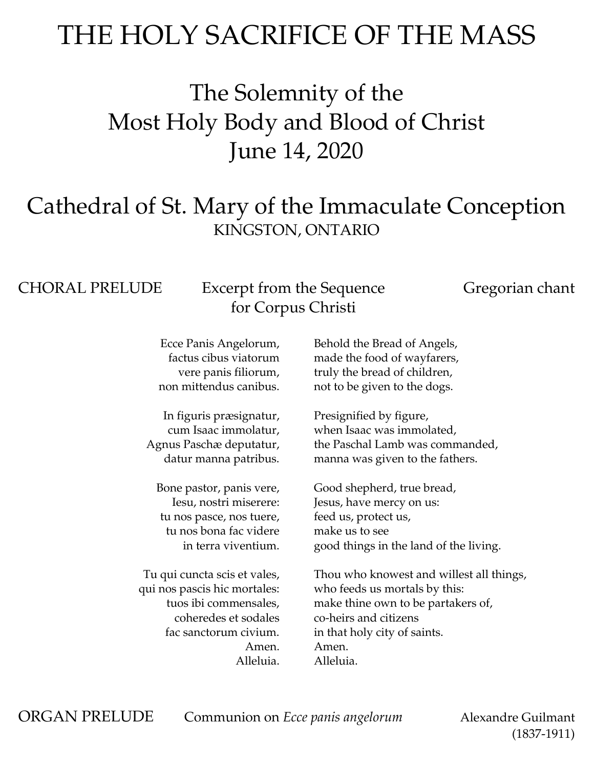## THE HOLY SACRIFICE OF THE MASS

The Solemnity of the Most Holy Body and Blood of Christ June 14, 2020

### Cathedral of St. Mary of the Immaculate Conception KINGSTON, ONTARIO

#### CHORAL PRELUDE Excerpt from the Sequence Gregorian chant for Corpus Christi

Ecce Panis Angelorum, factus cibus viatorum vere panis filiorum, non mittendus canibus.

In figuris præsignatur, cum Isaac immolatur, Agnus Paschæ deputatur, datur manna patribus.

Bone pastor, panis vere, Iesu, nostri miserere: tu nos pasce, nos tuere, tu nos bona fac videre in terra viventium.

Tu qui cuncta scis et vales, qui nos pascis hic mortales: tuos ibi commensales, coheredes et sodales fac sanctorum civium. Amen. Alleluia.

Behold the Bread of Angels, made the food of wayfarers, truly the bread of children, not to be given to the dogs.

Presignified by figure, when Isaac was immolated, the Paschal Lamb was commanded, manna was given to the fathers.

Good shepherd, true bread, Jesus, have mercy on us: feed us, protect us, make us to see good things in the land of the living.

Thou who knowest and willest all things, who feeds us mortals by this: make thine own to be partakers of, co-heirs and citizens in that holy city of saints. Amen. Alleluia.

ORGAN PRELUDE Communion on *Ecce panis angelorum* Alexandre Guilmant

(1837-1911)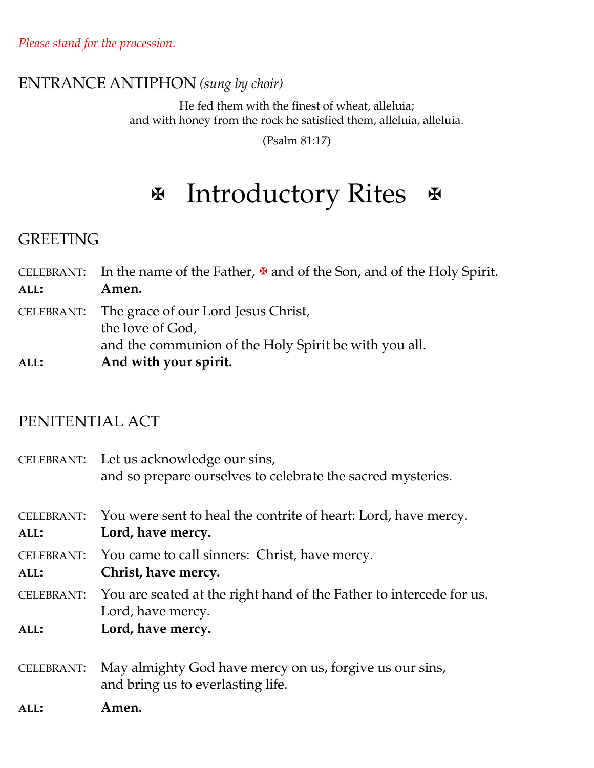### ENTRANCE ANTIPHON *(sung by choir)*

He fed them with the finest of wheat, alleluia; and with honey from the rock he satisfied them, alleluia, alleluia.

(Psalm 81:17)

## **E** Introductory Rites &

#### GREETING

|      | CELEBRANT: In the name of the Father, $\mathbf{\Psi}$ and of the Son, and of the Holy Spirit.                               |
|------|-----------------------------------------------------------------------------------------------------------------------------|
| ALL: | Amen.                                                                                                                       |
|      | CELEBRANT: The grace of our Lord Jesus Christ,<br>the love of God,<br>and the communion of the Holy Spirit be with you all. |
| ALL: | And with your spirit.                                                                                                       |

#### PENITENTIAL ACT

|                           | CELEBRANT: Let us acknowledge our sins,<br>and so prepare ourselves to celebrate the sacred mysteries. |
|---------------------------|--------------------------------------------------------------------------------------------------------|
| <b>CELEBRANT:</b><br>ALL: | You were sent to heal the contrite of heart: Lord, have mercy.<br>Lord, have mercy.                    |
| <b>CELEBRANT:</b><br>ALL: | You came to call sinners: Christ, have mercy.<br>Christ, have mercy.                                   |
|                           | CELEBRANT: You are seated at the right hand of the Father to intercede for us.<br>Lord, have mercy.    |
| ALL:                      | Lord, have mercy.                                                                                      |
| <b>CELEBRANT:</b>         | May almighty God have mercy on us, forgive us our sins,<br>and bring us to everlasting life.           |

**ALL: Amen.**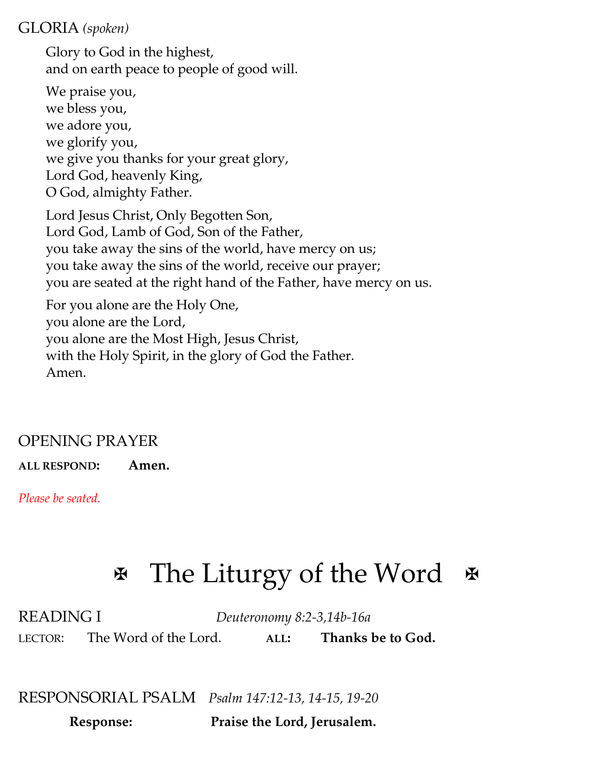#### GLORIA *(spoken)*

Glory to God in the highest, and on earth peace to people of good will.

We praise you, we bless you, we adore you, we glorify you, we give you thanks for your great glory, Lord God, heavenly King, O God, almighty Father.

Lord Jesus Christ, Only Begotten Son, Lord God, Lamb of God, Son of the Father, you take away the sins of the world, have mercy on us; you take away the sins of the world, receive our prayer; you are seated at the right hand of the Father, have mercy on us.

For you alone are the Holy One, you alone are the Lord, you alone are the Most High, Jesus Christ, with the Holy Spirit, in the glory of God the Father. Amen.

### OPENING PRAYER

**ALL RESPOND: Amen.**

*Please be seated.*

# $\mathbb F$  The Liturgy of the Word  $\mathbb F$

READING I *Deuteronomy 8:2-3,14b-16a* LECTOR: The Word of the Lord. **ALL: Thanks be to God.**

RESPONSORIAL PSALM *Psalm 147:12-13, 14-15, 19-20*

 **Response: Praise the Lord, Jerusalem.**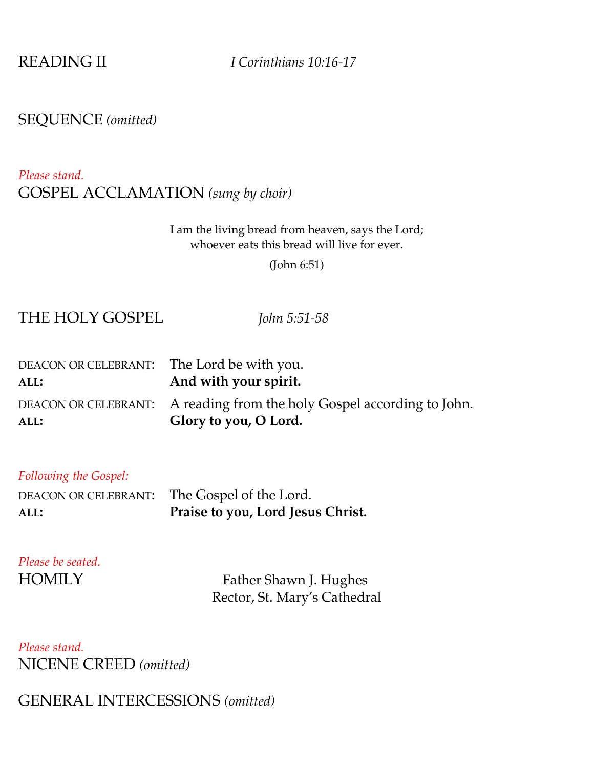READING II *I Corinthians 10:16-17*

#### SEQUENCE *(omitted)*

#### *Please stand.* GOSPEL ACCLAMATION *(sung by choir)*

#### I am the living bread from heaven, says the Lord; whoever eats this bread will live for ever.

(John 6:51)

#### THE HOLY GOSPEL *John 5:51-58*

| DEACON OR CELEBRANT: The Lord be with you. |                                                                        |
|--------------------------------------------|------------------------------------------------------------------------|
| ALL:                                       | And with your spirit.                                                  |
|                                            | DEACON OR CELEBRANT: A reading from the holy Gospel according to John. |
| ALL:                                       | Glory to you, O Lord.                                                  |

#### *Following the Gospel:*

|      | DEACON OR CELEBRANT: The Gospel of the Lord. |
|------|----------------------------------------------|
| ALL: | <b>Praise to you, Lord Jesus Christ.</b>     |

# *Please be seated.*

HOMILY Father Shawn J. Hughes Rector, St. Mary's Cathedral

*Please stand.* NICENE CREED *(omitted)*

#### GENERAL INTERCESSIONS *(omitted)*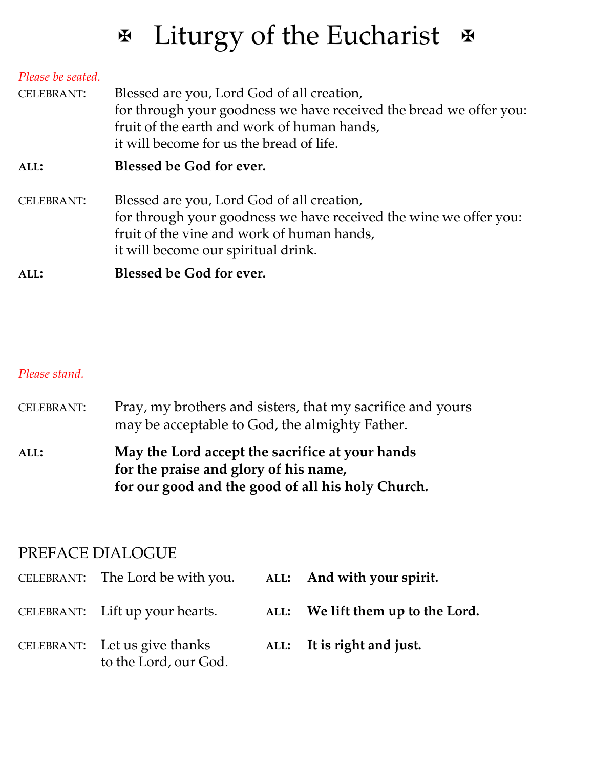# **Ex** Liturgy of the Eucharist

| Please be seated.<br><b>CELEBRANT:</b> | Blessed are you, Lord God of all creation,<br>for through your goodness we have received the bread we offer you:<br>fruit of the earth and work of human hands,<br>it will become for us the bread of life. |
|----------------------------------------|-------------------------------------------------------------------------------------------------------------------------------------------------------------------------------------------------------------|
| ALL:                                   | Blessed be God for ever.                                                                                                                                                                                    |
| <b>CELEBRANT:</b>                      | Blessed are you, Lord God of all creation,<br>for through your goodness we have received the wine we offer you:<br>fruit of the vine and work of human hands,<br>it will become our spiritual drink.        |
| ALL:                                   | <b>Blessed be God for ever.</b>                                                                                                                                                                             |

#### *Please stand.*

| <b>CELEBRANT:</b> | Pray, my brothers and sisters, that my sacrifice and yours |
|-------------------|------------------------------------------------------------|
|                   | may be acceptable to God, the almighty Father.             |

**ALL: May the Lord accept the sacrifice at your hands for the praise and glory of his name, for our good and the good of all his holy Church.**

#### PREFACE DIALOGUE

| CELEBRANT: The Lord be with you. ALL: And with your spirit. |                                   |
|-------------------------------------------------------------|-----------------------------------|
| CELEBRANT: Lift up your hearts.                             | ALL: We lift them up to the Lord. |
| CELEBRANT: Let us give thanks<br>to the Lord, our God.      | ALL: It is right and just.        |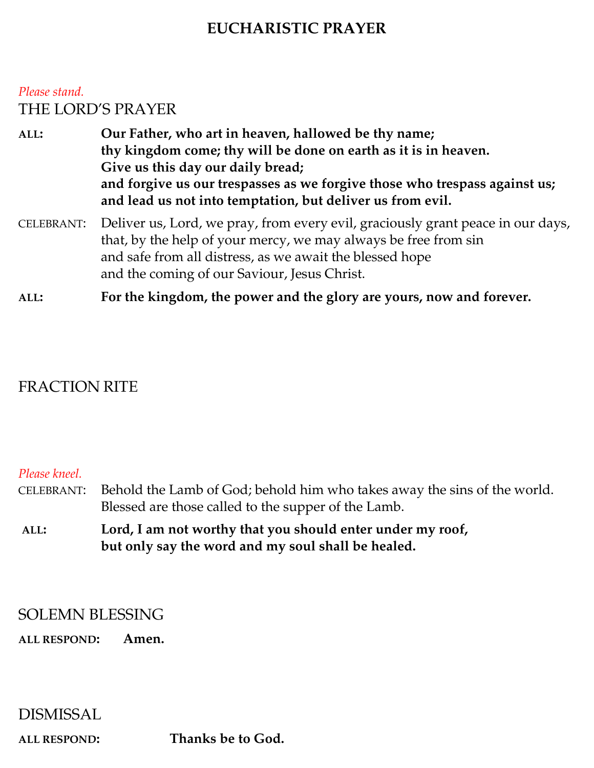#### **EUCHARISTIC PRAYER**

#### *Please stand.* THE LORD'S PRAYER

**ALL: Our Father, who art in heaven, hallowed be thy name; thy kingdom come; thy will be done on earth as it is in heaven. Give us this day our daily bread; and forgive us our trespasses as we forgive those who trespass against us; and lead us not into temptation, but deliver us from evil.** 

CELEBRANT: Deliver us, Lord, we pray, from every evil, graciously grant peace in our days, that, by the help of your mercy, we may always be free from sin and safe from all distress, as we await the blessed hope and the coming of our Saviour, Jesus Christ.

**ALL: For the kingdom, the power and the glory are yours, now and forever.**

#### FRACTION RITE

#### *Please kneel.*

- CELEBRANT: Behold the Lamb of God; behold him who takes away the sins of the world. Blessed are those called to the supper of the Lamb.
- **ALL: Lord, I am not worthy that you should enter under my roof, but only say the word and my soul shall be healed.**

#### SOLEMN BLESSING

**ALL RESPOND: Amen.**

#### DISMISSAL

**ALL RESPOND: Thanks be to God.**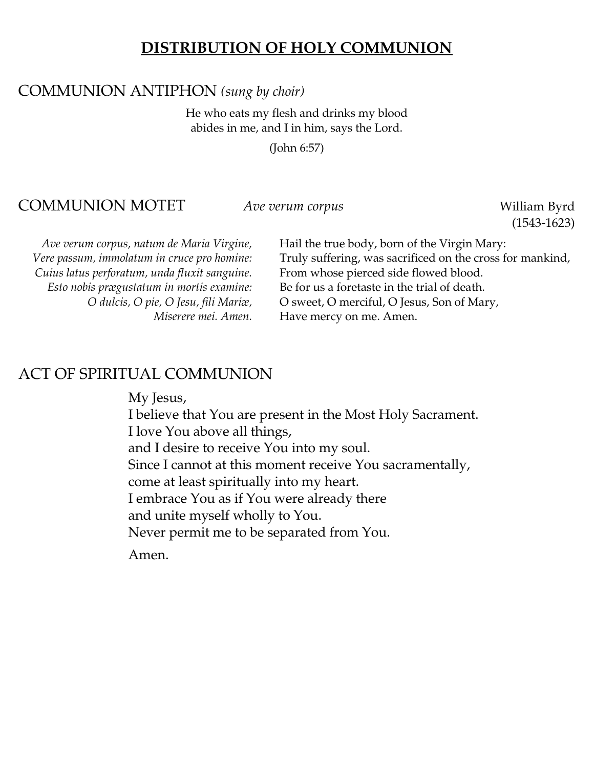#### **DISTRIBUTION OF HOLY COMMUNION**

#### COMMUNION ANTIPHON *(sung by choir)*

He who eats my flesh and drinks my blood abides in me, and I in him, says the Lord.

(John 6:57)

#### COMMUNION MOTET *Ave verum corpus* William Byrd

(1543-1623)

*Cuius latus perforatum, unda fluxit sanguine.* From whose pierced side flowed blood. *Esto nobis prægustatum in mortis examine:* Be for us a foretaste in the trial of death.

*Ave verum corpus, natum de Maria Virgine,* Hail the true body, born of the Virgin Mary: *Vere passum, immolatum in cruce pro homine:* Truly suffering, was sacrificed on the cross for mankind, *O dulcis, O pie, O Jesu, fili Mariæ,* O sweet, O merciful, O Jesus, Son of Mary, *Miserere mei. Amen.* Have mercy on me. Amen.

#### ACT OF SPIRITUAL COMMUNION

My Jesus,

I believe that You are present in the Most Holy Sacrament. I love You above all things, and I desire to receive You into my soul. Since I cannot at this moment receive You sacramentally, come at least spiritually into my heart. I embrace You as if You were already there and unite myself wholly to You. Never permit me to be separated from You.

Amen.